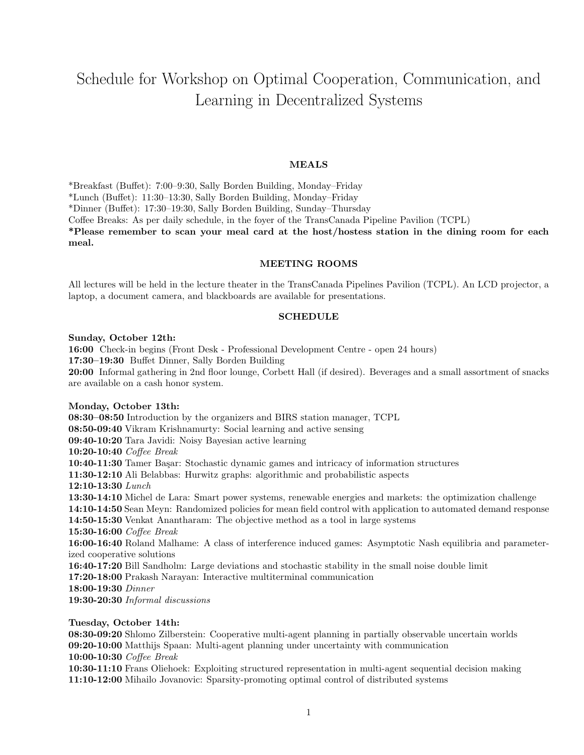# Schedule for Workshop on Optimal Cooperation, Communication, and Learning in Decentralized Systems

## MEALS

\*Breakfast (Buffet): 7:00–9:30, Sally Borden Building, Monday–Friday \*Lunch (Buffet): 11:30–13:30, Sally Borden Building, Monday–Friday

\*Dinner (Buffet): 17:30–19:30, Sally Borden Building, Sunday–Thursday

Coffee Breaks: As per daily schedule, in the foyer of the TransCanada Pipeline Pavilion (TCPL)

\*Please remember to scan your meal card at the host/hostess station in the dining room for each meal.

#### MEETING ROOMS

All lectures will be held in the lecture theater in the TransCanada Pipelines Pavilion (TCPL). An LCD projector, a laptop, a document camera, and blackboards are available for presentations.

#### SCHEDULE

#### Sunday, October 12th:

16:00 Check-in begins (Front Desk - Professional Development Centre - open 24 hours) 17:30–19:30 Buffet Dinner, Sally Borden Building 20:00 Informal gathering in 2nd floor lounge, Corbett Hall (if desired). Beverages and a small assortment of snacks are available on a cash honor system.

### Monday, October 13th:

08:30–08:50 Introduction by the organizers and BIRS station manager, TCPL 08:50-09:40 Vikram Krishnamurty: Social learning and active sensing 09:40-10:20 Tara Javidi: Noisy Bayesian active learning 10:20-10:40 Coffee Break 10:40-11:30 Tamer Başar: Stochastic dynamic games and intricacy of information structures 11:30-12:10 Ali Belabbas: Hurwitz graphs: algorithmic and probabilistic aspects 12:10-13:30 Lunch 13:30-14:10 Michel de Lara: Smart power systems, renewable energies and markets: the optimization challenge 14:10-14:50 Sean Meyn: Randomized policies for mean field control with application to automated demand response 14:50-15:30 Venkat Anantharam: The objective method as a tool in large systems 15:30-16:00 Coffee Break 16:00-16:40 Roland Malhame: A class of interference induced games: Asymptotic Nash equilibria and parameterized cooperative solutions 16:40-17:20 Bill Sandholm: Large deviations and stochastic stability in the small noise double limit 17:20-18:00 Prakash Narayan: Interactive multiterminal communication 18:00-19:30 Dinner 19:30-20:30 Informal discussions

## Tuesday, October 14th:

08:30-09:20 Shlomo Zilberstein: Cooperative multi-agent planning in partially observable uncertain worlds 09:20-10:00 Matthijs Spaan: Multi-agent planning under uncertainty with communication 10:00-10:30 Coffee Break

10:30-11:10 Frans Oliehoek: Exploiting structured representation in multi-agent sequential decision making 11:10-12:00 Mihailo Jovanovic: Sparsity-promoting optimal control of distributed systems